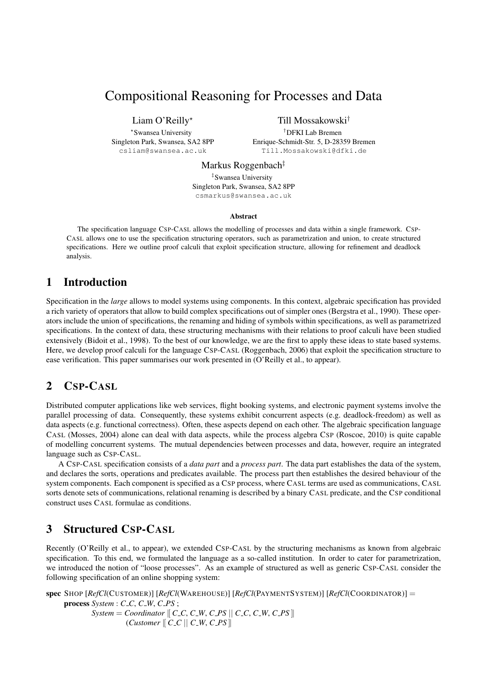# Compositional Reasoning for Processes and Data

Liam O'Reilly<sup>\*</sup>

? Swansea University Singleton Park, Swansea, SA2 8PP csliam@swansea.ac.uk

Till Mossakowski†

†DFKI Lab Bremen Enrique-Schmidt-Str. 5, D-28359 Bremen Till.Mossakowski@dfki.de

Markus Roggenbach<sup>‡</sup>

‡ Swansea University Singleton Park, Swansea, SA2 8PP csmarkus@swansea.ac.uk

#### Abstract

The specification language CSP-CASL allows the modelling of processes and data within a single framework. CSP-CASL allows one to use the specification structuring operators, such as parametrization and union, to create structured specifications. Here we outline proof calculi that exploit specification structure, allowing for refinement and deadlock analysis.

# 1 Introduction

Specification in the *large* allows to model systems using components. In this context, algebraic specification has provided a rich variety of operators that allow to build complex specifications out of simpler ones (Bergstra et al., 1990). These operators include the union of specifications, the renaming and hiding of symbols within specifications, as well as parametrized specifications. In the context of data, these structuring mechanisms with their relations to proof calculi have been studied extensively (Bidoit et al., 1998). To the best of our knowledge, we are the first to apply these ideas to state based systems. Here, we develop proof calculi for the language CSP-CASL (Roggenbach, 2006) that exploit the specification structure to ease verification. This paper summarises our work presented in (O'Reilly et al., to appear).

# 2 CSP-CASL

Distributed computer applications like web services, flight booking systems, and electronic payment systems involve the parallel processing of data. Consequently, these systems exhibit concurrent aspects (e.g. deadlock-freedom) as well as data aspects (e.g. functional correctness). Often, these aspects depend on each other. The algebraic specification language CASL (Mosses, 2004) alone can deal with data aspects, while the process algebra CSP (Roscoe, 2010) is quite capable of modelling concurrent systems. The mutual dependencies between processes and data, however, require an integrated language such as CSP-CASL.

A CSP-CASL specification consists of a *data part* and a *process part*. The data part establishes the data of the system, and declares the sorts, operations and predicates available. The process part then establishes the desired behaviour of the system components. Each component is specified as a CSP process, where CASL terms are used as communications, CASL sorts denote sets of communications, relational renaming is described by a binary CASL predicate, and the CSP conditional construct uses CASL formulae as conditions.

# 3 Structured CSP-CASL

Recently (O'Reilly et al., to appear), we extended CSP-CASL by the structuring mechanisms as known from algebraic specification. To this end, we formulated the language as a so-called institution. In order to cater for parametrization, we introduced the notion of "loose processes". As an example of structured as well as generic CSP-CASL consider the following specification of an online shopping system:

spec SHOP [*RefCl*(CUSTOMER)] [*RefCl*(WAREHOUSE)] [*RefCl*(PAYMENTSYSTEM)] [*RefCl*(COORDINATOR)] = process *System* : *C C*, *C W*, *C PS* ;  $System = Coordinate \mid C\_C, C\_W, C\_PS \mid C\_C, C\_W, C\_PS \mid$  $(Customer \n\vert \n\vert \nC\_C \n\vert \n\vert \nC\_W, C\_PS \n\vert \n\vert$